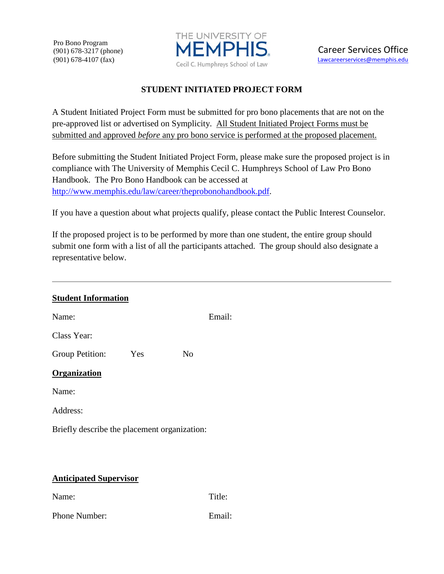Pro Bono Program (901) 678-3217 (phone) (901) 678-4107 (fax)



## **STUDENT INITIATED PROJECT FORM**

A Student Initiated Project Form must be submitted for pro bono placements that are not on the pre-approved list or advertised on Symplicity. All Student Initiated Project Forms must be submitted and approved *before* any pro bono service is performed at the proposed placement.

Before submitting the Student Initiated Project Form, please make sure the proposed project is in compliance with The University of Memphis Cecil C. Humphreys School of Law Pro Bono Handbook. The Pro Bono Handbook can be accessed at [http://www.memphis.edu/law/career/theprobonohandbook.pdf.](http://www.memphis.edu/law/career/theprobonohandbook.pdf)

If you have a question about what projects qualify, please contact the Public Interest Counselor.

If the proposed project is to be performed by more than one student, the entire group should submit one form with a list of all the participants attached. The group should also designate a representative below.

| <b>Student Information</b>                   |     |                |        |
|----------------------------------------------|-----|----------------|--------|
| Name:                                        |     |                | Email: |
| Class Year:                                  |     |                |        |
| Group Petition:                              | Yes | N <sub>0</sub> |        |
| <b>Organization</b>                          |     |                |        |
| Name:                                        |     |                |        |
| Address:                                     |     |                |        |
| Briefly describe the placement organization: |     |                |        |
|                                              |     |                |        |
|                                              |     |                |        |
| <b>Anticipated Supervisor</b>                |     |                |        |
| Name:                                        |     |                | Title: |

Phone Number: Email: